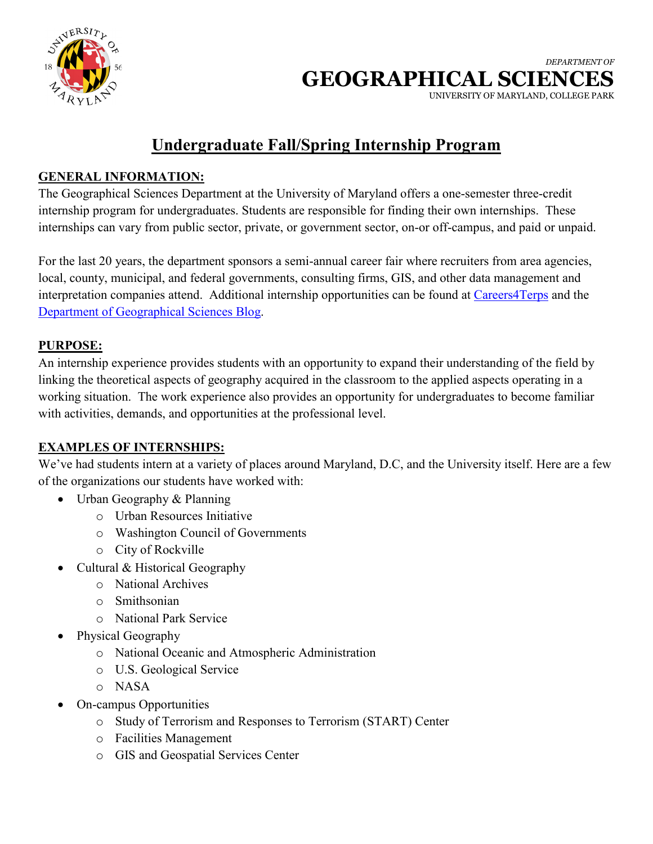

# *DEPARTMENT OF*  **GEOGRAPHICAL SCIENC**

UNIVERSITY OF MARYLAND, COLLEGE PARK

# **Undergraduate Fall/Spring Internship Program**

## **GENERAL INFORMATION:**

The Geographical Sciences Department at the University of Maryland offers a one-semester three-credit internship program for undergraduates. Students are responsible for finding their own internships. These internships can vary from public sector, private, or government sector, on-or off-campus, and paid or unpaid.

For the last 20 years, the department sponsors a semi-annual career fair where recruiters from area agencies, local, county, municipal, and federal governments, consulting firms, GIS, and other data management and interpretation companies attend. Additional internship opportunities can be found at [Careers4Terps](https://careers.umd.edu/careers4terps) and the [Department of Geographical Sciences Blog.](http://umdgeog.blogspot.com/)

## **PURPOSE:**

An internship experience provides students with an opportunity to expand their understanding of the field by linking the theoretical aspects of geography acquired in the classroom to the applied aspects operating in a working situation. The work experience also provides an opportunity for undergraduates to become familiar with activities, demands, and opportunities at the professional level.

## **EXAMPLES OF INTERNSHIPS:**

We've had students intern at a variety of places around Maryland, D.C, and the University itself. Here are a few of the organizations our students have worked with:

- Urban Geography & Planning
	- o Urban Resources Initiative
	- o Washington Council of Governments
	- o City of Rockville
- Cultural & Historical Geography
	- o National Archives
	- o Smithsonian
	- o National Park Service
- Physical Geography
	- o National Oceanic and Atmospheric Administration
	- o U.S. Geological Service
	- o NASA
- On-campus Opportunities
	- o Study of Terrorism and Responses to Terrorism (START) Center
	- o Facilities Management
	- o GIS and Geospatial Services Center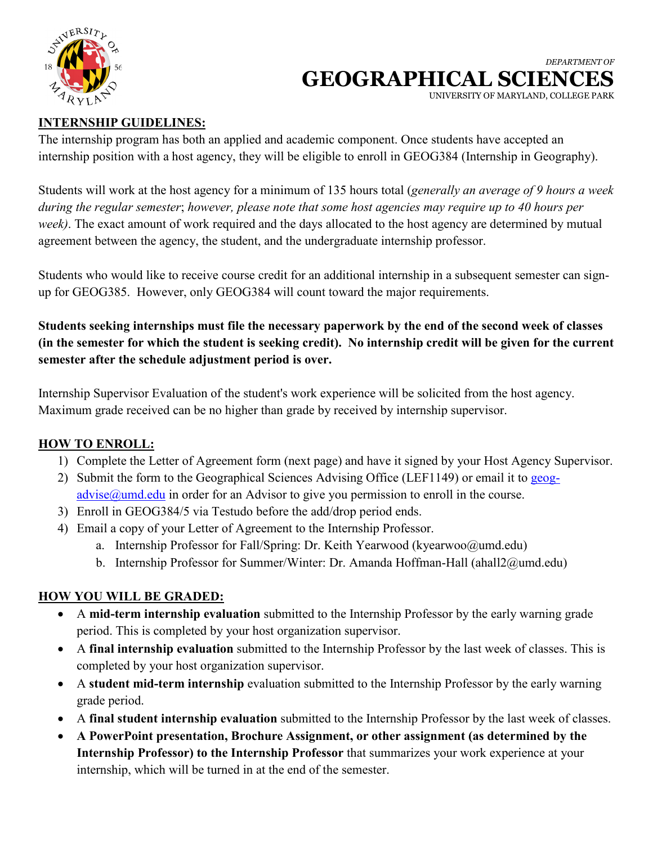

## *DEPARTMENT OF*  **GEOGRAPHICAL SCIENC**

UNIVERSITY OF MARYLAND, COLLEGE PARK

## **INTERNSHIP GUIDELINES:**

The internship program has both an applied and academic component. Once students have accepted an internship position with a host agency, they will be eligible to enroll in GEOG384 (Internship in Geography).

Students will work at the host agency for a minimum of 135 hours total (*generally an average of 9 hours a week during the regular semester*; *however, please note that some host agencies may require up to 40 hours per week)*. The exact amount of work required and the days allocated to the host agency are determined by mutual agreement between the agency, the student, and the undergraduate internship professor.

Students who would like to receive course credit for an additional internship in a subsequent semester can signup for GEOG385. However, only GEOG384 will count toward the major requirements.

**Students seeking internships must file the necessary paperwork by the end of the second week of classes (in the semester for which the student is seeking credit). No internship credit will be given for the current semester after the schedule adjustment period is over.** 

Internship Supervisor Evaluation of the student's work experience will be solicited from the host agency. Maximum grade received can be no higher than grade by received by internship supervisor.

## **HOW TO ENROLL:**

- 1) Complete the Letter of Agreement form (next page) and have it signed by your Host Agency Supervisor.
- 2) Submit the form to the Geographical Sciences Advising Office (LEF1149) or email it to [geog](mailto:geog-advise@umd.edu) $advise@umd.edu$  in order for an Advisor to give you permission to enroll in the course.
- 3) Enroll in GEOG384/5 via Testudo before the add/drop period ends.
- 4) Email a copy of your Letter of Agreement to the Internship Professor.
	- a. Internship Professor for Fall/Spring: Dr. Keith Yearwood (kyearwoo@umd.edu)
	- b. Internship Professor for Summer/Winter: Dr. Amanda Hoffman-Hall (ahall2@umd.edu)

## **HOW YOU WILL BE GRADED:**

- A **mid-term internship evaluation** submitted to the Internship Professor by the early warning grade period. This is completed by your host organization supervisor.
- A **final internship evaluation** submitted to the Internship Professor by the last week of classes. This is completed by your host organization supervisor.
- A **student mid-term internship** evaluation submitted to the Internship Professor by the early warning grade period.
- A **final student internship evaluation** submitted to the Internship Professor by the last week of classes.
- **A PowerPoint presentation, Brochure Assignment, or other assignment (as determined by the Internship Professor) to the Internship Professor** that summarizes your work experience at your internship, which will be turned in at the end of the semester.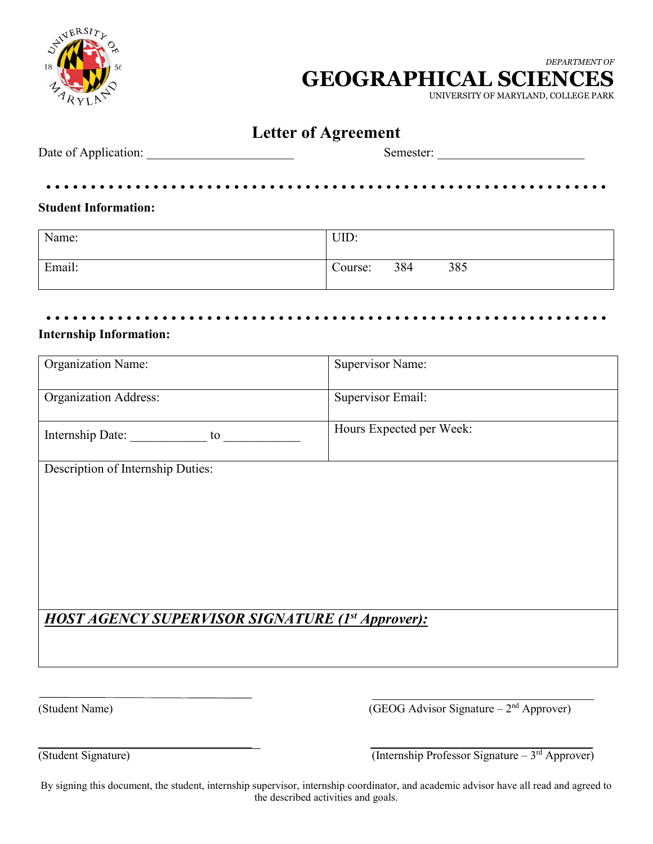

## *DEPARTMENT OF*  **GEOGRAPHICAL SCIENCI**

UNIVERSITY OF MARYLAND, COLLEGE PARK

# **Letter of Agreement**

| Date of Application: |  |
|----------------------|--|
|                      |  |

Semester:

## • • • • • • • • • • • • • • • • • • • • • • • • • • • • • • • • • • • • • • • • • • • • • • • • • • • • • • • • • • • • • • •

#### **Student Information:**

| Name:  | UID:                  |
|--------|-----------------------|
| Email: | 385<br>384<br>Course: |

• • • • • • • • • • • • • • • • • • • • • • • • • • • • • • • • • • • • • • • • • • • • • • • • • • • • • • • • • • • • • • •

#### **Internship Information:**

| <b>Organization Name:</b>                               | <b>Supervisor Name:</b>  |  |
|---------------------------------------------------------|--------------------------|--|
| <b>Organization Address:</b>                            | <b>Supervisor Email:</b> |  |
| Internship Date:<br>to                                  | Hours Expected per Week: |  |
| Description of Internship Duties:                       |                          |  |
|                                                         |                          |  |
|                                                         |                          |  |
|                                                         |                          |  |
|                                                         |                          |  |
|                                                         |                          |  |
| <b>HOST AGENCY SUPERVISOR SIGNATURE (1st Approver):</b> |                          |  |
|                                                         |                          |  |
|                                                         |                          |  |

(Student Name)  $\overline{(GEOG\,\text{Advisor Signature} - 2^{\text{nd}}\,\text{Approxer})}$ 

(Student Signature) (Internship Professor Signature – 3<sup>rd</sup> Approver)

By signing this document, the student, internship supervisor, internship coordinator, and academic advisor have all read and agreed to the described activities and goals.

 $\mathcal{L}_\text{max}$  , and the contract of the contract of the contract of the contract of the contract of the contract of the contract of the contract of the contract of the contract of the contract of the contract of the contr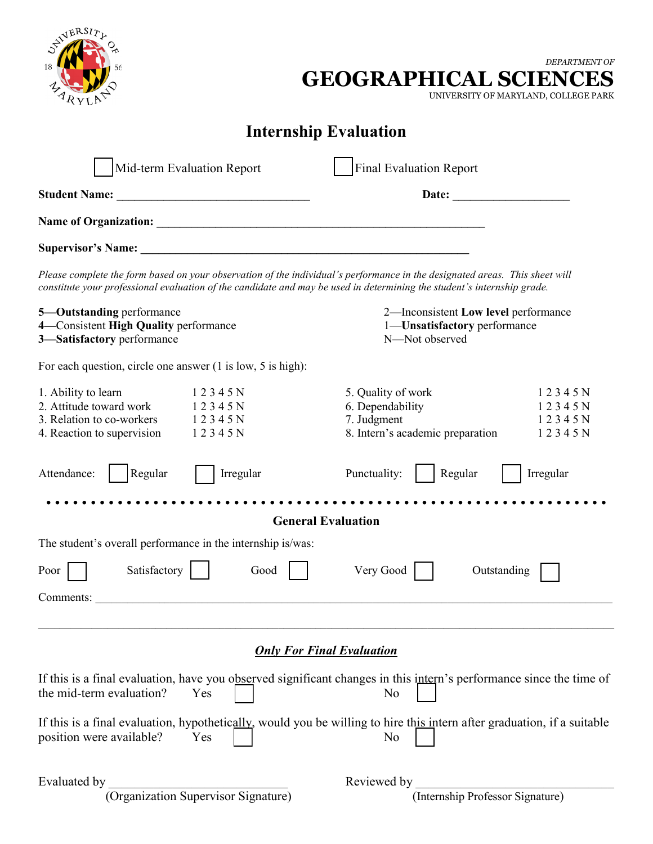

## *DEPARTMENT OF*  **GEOGRAPHICAL SCIENCES**

UNIVERSITY OF MARYLAND, COLLEGE PARK

# **Internship Evaluation**

| Mid-term Evaluation Report                                                                                                                                                                                                                             | <b>Final Evaluation Report</b>                                                                                                                                                                                                 |  |  |
|--------------------------------------------------------------------------------------------------------------------------------------------------------------------------------------------------------------------------------------------------------|--------------------------------------------------------------------------------------------------------------------------------------------------------------------------------------------------------------------------------|--|--|
|                                                                                                                                                                                                                                                        | Date: the contract of the contract of the contract of the contract of the contract of the contract of the contract of the contract of the contract of the contract of the contract of the contract of the contract of the cont |  |  |
|                                                                                                                                                                                                                                                        |                                                                                                                                                                                                                                |  |  |
|                                                                                                                                                                                                                                                        |                                                                                                                                                                                                                                |  |  |
| Please complete the form based on your observation of the individual's performance in the designated areas. This sheet will<br>constitute your professional evaluation of the candidate and may be used in determining the student's internship grade. |                                                                                                                                                                                                                                |  |  |
| 5-Outstanding performance<br>4 Consistent High Quality performance<br>3-Satisfactory performance                                                                                                                                                       | 2-Inconsistent Low level performance<br>1-Unsatisfactory performance<br>N-Not observed                                                                                                                                         |  |  |
| For each question, circle one answer (1 is low, 5 is high):                                                                                                                                                                                            |                                                                                                                                                                                                                                |  |  |
| 1. Ability to learn<br>12345N<br>2. Attitude toward work<br>12345N<br>3. Relation to co-workers<br>12345N<br>4. Reaction to supervision<br>12345N                                                                                                      | 5. Quality of work<br>12345N<br>6. Dependability<br>12345N<br>7. Judgment<br>12345N<br>8. Intern's academic preparation<br>12345N                                                                                              |  |  |
| Attendance:<br>Regular<br>Irregular                                                                                                                                                                                                                    | Regular<br>Punctuality:<br>Irregular                                                                                                                                                                                           |  |  |
| <b>General Evaluation</b>                                                                                                                                                                                                                              |                                                                                                                                                                                                                                |  |  |
| The student's overall performance in the internship is/was:                                                                                                                                                                                            |                                                                                                                                                                                                                                |  |  |
| Satisfactory<br>Poor<br>Good                                                                                                                                                                                                                           | Very Good<br>Outstanding                                                                                                                                                                                                       |  |  |
| Comments:                                                                                                                                                                                                                                              |                                                                                                                                                                                                                                |  |  |
|                                                                                                                                                                                                                                                        |                                                                                                                                                                                                                                |  |  |
| <b>Only For Final Evaluation</b>                                                                                                                                                                                                                       |                                                                                                                                                                                                                                |  |  |
| If this is a final evaluation, have you observed significant changes in this intern's performance since the time of<br>the mid-term evaluation?<br>Yes                                                                                                 | No                                                                                                                                                                                                                             |  |  |
| If this is a final evaluation, hypothetically, would you be willing to hire this intern after graduation, if a suitable<br>position were available?<br>Yes                                                                                             | No                                                                                                                                                                                                                             |  |  |
| Evaluated by<br>(Organization Supervisor Signature)                                                                                                                                                                                                    | Reviewed by<br>(Internship Professor Signature)                                                                                                                                                                                |  |  |